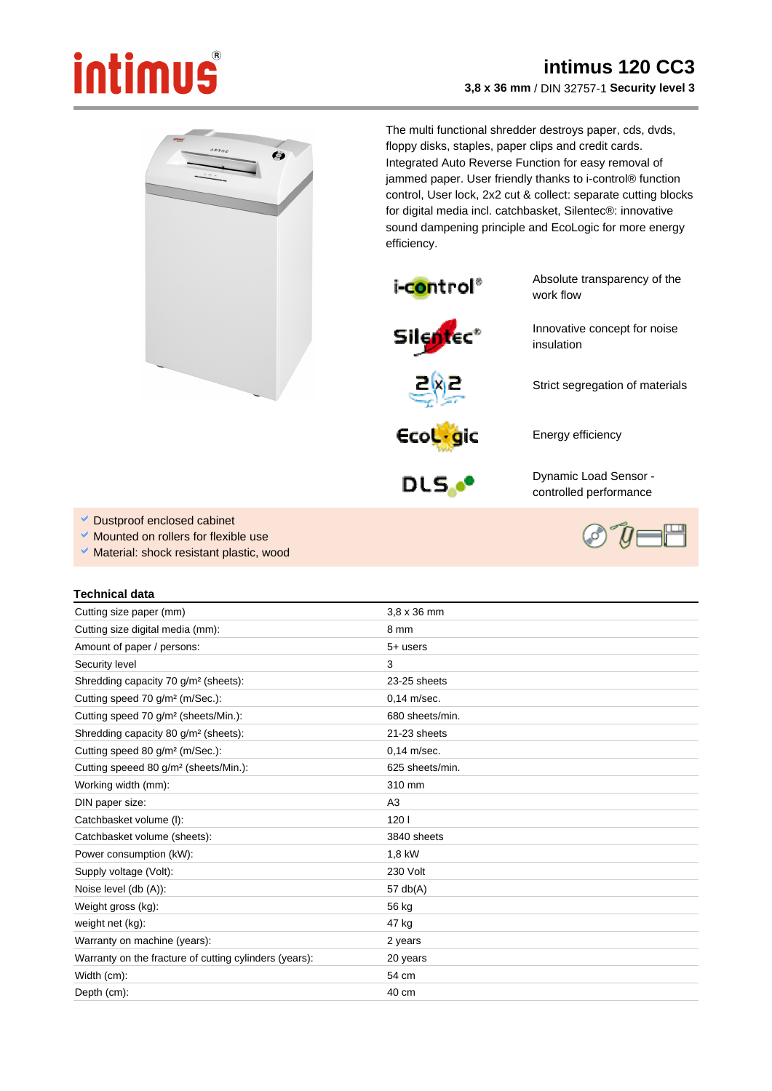## intimus

 $\bullet$ 

## **intimus 120 CC3 3,8 x 36 mm** / DIN 32757-1 **Security level 3**

The multi functional shredder destroys paper, cds, dvds, floppy disks, staples, paper clips and credit cards. Integrated Auto Reverse Function for easy removal of jammed paper. User friendly thanks to i-control® function control, User lock, 2x2 cut & collect: separate cutting blocks for digital media incl. catchbasket, Silentec®: innovative sound dampening principle and EcoLogic for more energy efficiency.



Absolute transparency of the work flow

Innovative concept for noise

Strict segregation of materials





Energy efficiency

insulation



Dynamic Load Sensor controlled performance

- Dustproof enclosed cabinet
- Mounted on rollers for flexible use
- Material: shock resistant plastic, wood

## **Technical data**

| Cutting size paper (mm)                                | $3.8 \times 36$ mm |
|--------------------------------------------------------|--------------------|
| Cutting size digital media (mm):                       | 8 mm               |
| Amount of paper / persons:                             | $5+$ users         |
| Security level                                         | 3                  |
| Shredding capacity 70 g/m <sup>2</sup> (sheets):       | 23-25 sheets       |
| Cutting speed 70 g/m <sup>2</sup> (m/Sec.):            | $0.14$ m/sec.      |
| Cutting speed 70 g/m <sup>2</sup> (sheets/Min.):       | 680 sheets/min.    |
| Shredding capacity 80 g/m <sup>2</sup> (sheets):       | 21-23 sheets       |
| Cutting speed 80 g/m <sup>2</sup> (m/Sec.):            | $0.14$ m/sec.      |
| Cutting speeed 80 g/m <sup>2</sup> (sheets/Min.):      | 625 sheets/min.    |
| Working width (mm):                                    | 310 mm             |
| DIN paper size:                                        | A3                 |
| Catchbasket volume (I):                                | 1201               |
| Catchbasket volume (sheets):                           | 3840 sheets        |
| Power consumption (kW):                                | 1,8 kW             |
| Supply voltage (Volt):                                 | 230 Volt           |
| Noise level (db (A)):                                  | 57 $db(A)$         |
| Weight gross (kg):                                     | 56 kg              |
| weight net (kg):                                       | 47 kg              |
| Warranty on machine (years):                           | 2 years            |
| Warranty on the fracture of cutting cylinders (years): | 20 years           |
| Width (cm):                                            | 54 cm              |
| Depth (cm):                                            | $40 \text{ cm}$    |